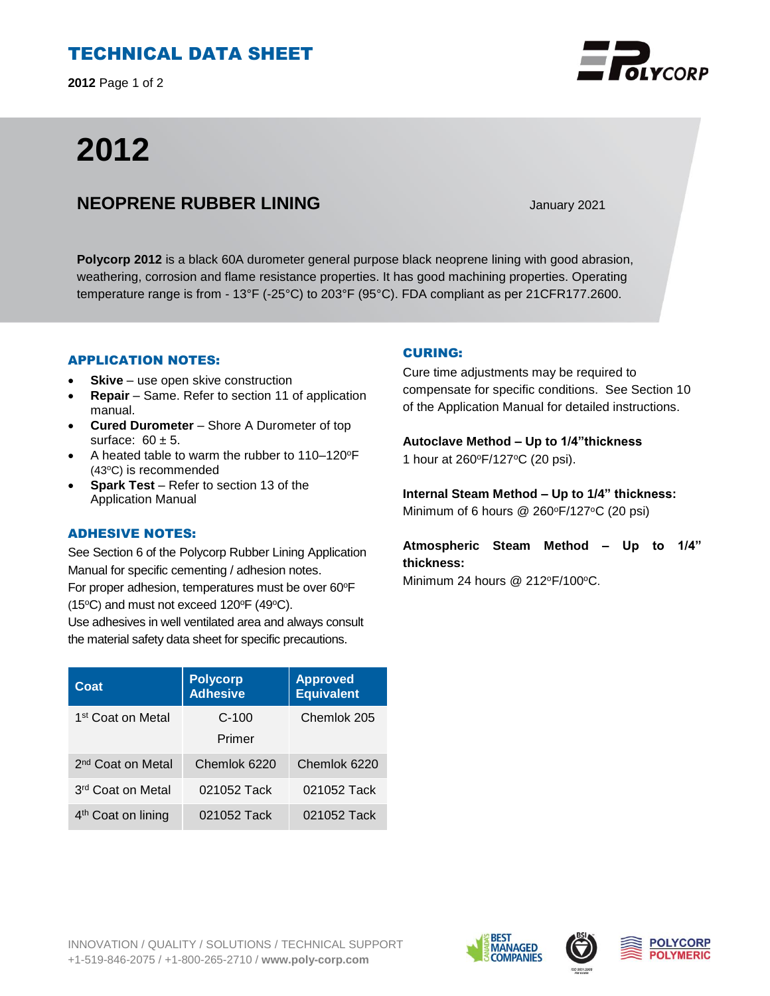# TECHNICAL DATA SHEET

**2012** Page 1 of 2

# **2012**

## **NEOPRENE RUBBER LINING** January 2021

**Polycorp 2012** is a black 60A durometer general purpose black neoprene lining with good abrasion, weathering, corrosion and flame resistance properties. It has good machining properties. Operating temperature range is from - 13°F (-25°C) to 203°F (95°C). FDA compliant as per 21CFR177.2600.

#### APPLICATION NOTES:

- **Skive** use open skive construction
- **Repair**  Same. Refer to section 11 of application manual.
- **Cured Durometer**  Shore A Durometer of top surface:  $60 \pm 5$ .
- A heated table to warm the rubber to 110–120°F (43°C) is recommended
- **Spark Test** Refer to section 13 of the Application Manual

### ADHESIVE NOTES:

See Section 6 of the Polycorp Rubber Lining Application Manual for specific cementing / adhesion notes. For proper adhesion, temperatures must be over 60°F (15 $\textdegree$ C) and must not exceed 120 $\textdegree$ F (49 $\textdegree$ C).

Use adhesives in well ventilated area and always consult the material safety data sheet for specific precautions.

#### **Coat Polycorp Adhesive Approved Equivalent** 1<sup>st</sup> Coat on Metal **C-100** Primer Chemlok 205 2 nd Coat on Metal Chemlok 6220 Chemlok 6220 3 rd Coat on Metal 021052 Tack 021052 Tack 4 th Coat on lining 021052 Tack 021052 Tack

### CURING:

Cure time adjustments may be required to compensate for specific conditions. See Section 10 of the Application Manual for detailed instructions.

**Autoclave Method – Up to 1/4"thickness**  1 hour at 260°F/127°C (20 psi).

**Internal Steam Method – Up to 1/4" thickness:** Minimum of 6 hours  $@$  260 $\degree$ F/127 $\degree$ C (20 psi)

**Atmospheric Steam Method – Up to 1/4" thickness:**

Minimum 24 hours  $@$  212°F/100°C.